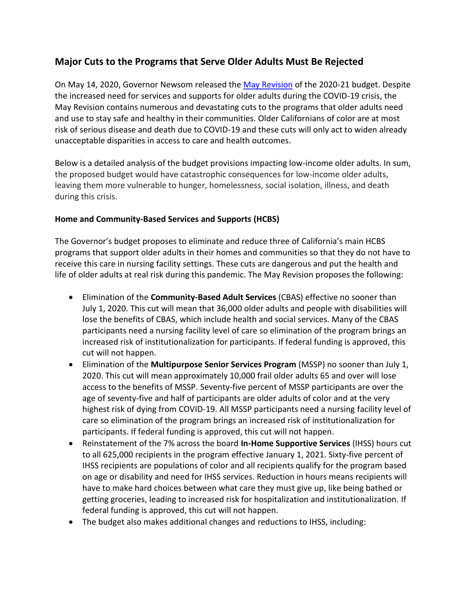# **Major Cuts to the Programs that Serve Older Adults Must Be Rejected**

On May 14, 2020, Governor Newsom released the [May Revision](http://www.ebudget.ca.gov/FullBudgetSummary.pdf?eType=EmailBlastContent&eId=e3b5cd99-8bbf-4a89-bd12-833332d565e6) of the 2020-21 budget. Despite the increased need for services and supports for older adults during the COVID-19 crisis, the May Revision contains numerous and devastating cuts to the programs that older adults need and use to stay safe and healthy in their communities. Older Californians of color are at most risk of serious disease and death due to COVID-19 and these cuts will only act to widen already unacceptable disparities in access to care and health outcomes.

Below is a detailed analysis of the budget provisions impacting low-income older adults. In sum, the proposed budget would have catastrophic consequences for low-income older adults, leaving them more vulnerable to hunger, homelessness, social isolation, illness, and death during this crisis.

## **Home and Community-Based Services and Supports (HCBS)**

The Governor's budget proposes to eliminate and reduce three of California's main HCBS programs that support older adults in their homes and communities so that they do not have to receive this care in nursing facility settings. These cuts are dangerous and put the health and life of older adults at real risk during this pandemic. The May Revision proposes the following:

- Elimination of the **Community-Based Adult Services** (CBAS) effective no sooner than July 1, 2020. This cut will mean that 36,000 older adults and people with disabilities will lose the benefits of CBAS, which include health and social services. Many of the CBAS participants need a nursing facility level of care so elimination of the program brings an increased risk of institutionalization for participants. If federal funding is approved, this cut will not happen.
- Elimination of the **Multipurpose Senior Services Program** (MSSP) no sooner than July 1, 2020. This cut will mean approximately 10,000 frail older adults 65 and over will lose access to the benefits of MSSP. Seventy-five percent of MSSP participants are over the age of seventy-five and half of participants are older adults of color and at the very highest risk of dying from COVID-19. All MSSP participants need a nursing facility level of care so elimination of the program brings an increased risk of institutionalization for participants. If federal funding is approved, this cut will not happen.
- Reinstatement of the 7% across the board **In-Home Supportive Services** (IHSS) hours cut to all 625,000 recipients in the program effective January 1, 2021. Sixty-five percent of IHSS recipients are populations of color and all recipients qualify for the program based on age or disability and need for IHSS services. Reduction in hours means recipients will have to make hard choices between what care they must give up, like being bathed or getting groceries, leading to increased risk for hospitalization and institutionalization. If federal funding is approved, this cut will not happen.
- The budget also makes additional changes and reductions to IHSS, including: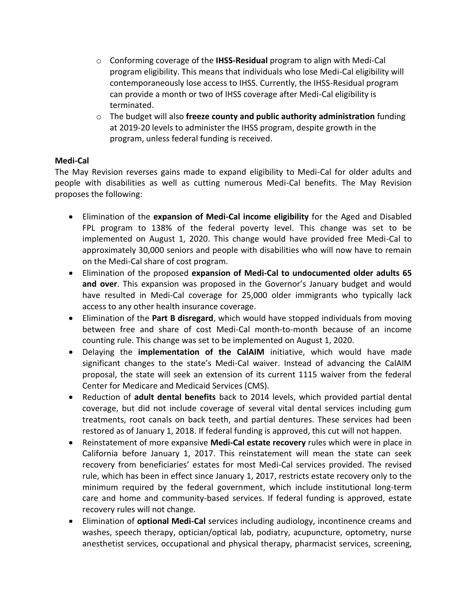- o Conforming coverage of the **IHSS-Residual** program to align with Medi-Cal program eligibility. This means that individuals who lose Medi-Cal eligibility will contemporaneously lose access to IHSS. Currently, the IHSS-Residual program can provide a month or two of IHSS coverage after Medi-Cal eligibility is terminated.
- o The budget will also **freeze county and public authority administration** funding at 2019-20 levels to administer the IHSS program, despite growth in the program, unless federal funding is received.

## **Medi-Cal**

The May Revision reverses gains made to expand eligibility to Medi-Cal for older adults and people with disabilities as well as cutting numerous Medi-Cal benefits. The May Revision proposes the following:

- Elimination of the **expansion of Medi-Cal income eligibility** for the Aged and Disabled FPL program to 138% of the federal poverty level. This change was set to be implemented on August 1, 2020. This change would have provided free Medi-Cal to approximately 30,000 seniors and people with disabilities who will now have to remain on the Medi-Cal share of cost program.
- Elimination of the proposed **expansion of Medi-Cal to undocumented older adults 65 and over**. This expansion was proposed in the Governor's January budget and would have resulted in Medi-Cal coverage for 25,000 older immigrants who typically lack access to any other health insurance coverage.
- Elimination of the **Part B disregard**, which would have stopped individuals from moving between free and share of cost Medi-Cal month-to-month because of an income counting rule. This change was set to be implemented on August 1, 2020.
- Delaying the **implementation of the CalAIM** initiative, which would have made significant changes to the state's Medi-Cal waiver. Instead of advancing the CalAIM proposal, the state will seek an extension of its current 1115 waiver from the federal Center for Medicare and Medicaid Services (CMS).
- Reduction of **adult dental benefits** back to 2014 levels, which provided partial dental coverage, but did not include coverage of several vital dental services including gum treatments, root canals on back teeth, and partial dentures. These services had been restored as of January 1, 2018. If federal funding is approved, this cut will not happen.
- Reinstatement of more expansive **Medi-Cal estate recovery** rules which were in place in California before January 1, 2017. This reinstatement will mean the state can seek recovery from beneficiaries' estates for most Medi-Cal services provided. The revised rule, which has been in effect since January 1, 2017, restricts estate recovery only to the minimum required by the federal government, which include institutional long-term care and home and community-based services. If federal funding is approved, estate recovery rules will not change.
- Elimination of **optional Medi-Cal** services including audiology, incontinence creams and washes, speech therapy, optician/optical lab, podiatry, acupuncture, optometry, nurse anesthetist services, occupational and physical therapy, pharmacist services, screening,